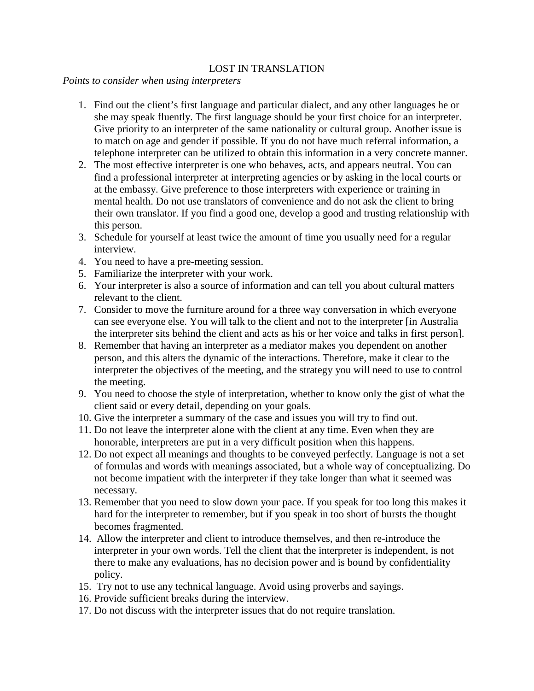## LOST IN TRANSLATION

*Points to consider when using interpreters* 

- 1. Find out the client's first language and particular dialect, and any other languages he or she may speak fluently. The first language should be your first choice for an interpreter. Give priority to an interpreter of the same nationality or cultural group. Another issue is to match on age and gender if possible. If you do not have much referral information, a telephone interpreter can be utilized to obtain this information in a very concrete manner.
- 2. The most effective interpreter is one who behaves, acts, and appears neutral. You can find a professional interpreter at interpreting agencies or by asking in the local courts or at the embassy. Give preference to those interpreters with experience or training in mental health. Do not use translators of convenience and do not ask the client to bring their own translator. If you find a good one, develop a good and trusting relationship with this person.
- 3. Schedule for yourself at least twice the amount of time you usually need for a regular interview.
- 4. You need to have a pre-meeting session.
- 5. Familiarize the interpreter with your work.
- 6. Your interpreter is also a source of information and can tell you about cultural matters relevant to the client.
- 7. Consider to move the furniture around for a three way conversation in which everyone can see everyone else. You will talk to the client and not to the interpreter [in Australia the interpreter sits behind the client and acts as his or her voice and talks in first person].
- 8. Remember that having an interpreter as a mediator makes you dependent on another person, and this alters the dynamic of the interactions. Therefore, make it clear to the interpreter the objectives of the meeting, and the strategy you will need to use to control the meeting.
- 9. You need to choose the style of interpretation, whether to know only the gist of what the client said or every detail, depending on your goals.
- 10. Give the interpreter a summary of the case and issues you will try to find out.
- 11. Do not leave the interpreter alone with the client at any time. Even when they are honorable, interpreters are put in a very difficult position when this happens.
- 12. Do not expect all meanings and thoughts to be conveyed perfectly. Language is not a set of formulas and words with meanings associated, but a whole way of conceptualizing. Do not become impatient with the interpreter if they take longer than what it seemed was necessary.
- 13. Remember that you need to slow down your pace. If you speak for too long this makes it hard for the interpreter to remember, but if you speak in too short of bursts the thought becomes fragmented.
- 14. Allow the interpreter and client to introduce themselves, and then re-introduce the interpreter in your own words. Tell the client that the interpreter is independent, is not there to make any evaluations, has no decision power and is bound by confidentiality policy.
- 15. Try not to use any technical language. Avoid using proverbs and sayings.
- 16. Provide sufficient breaks during the interview.
- 17. Do not discuss with the interpreter issues that do not require translation.